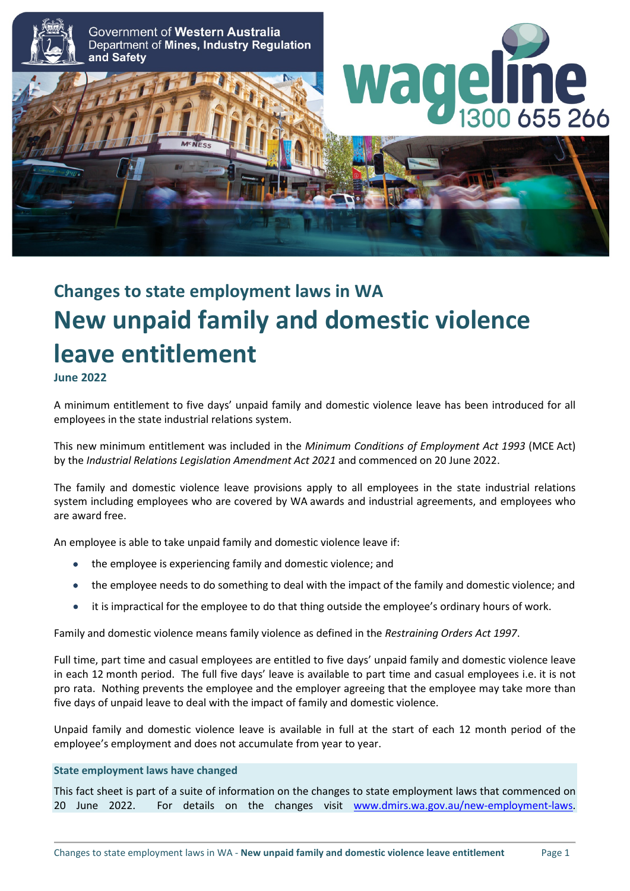

# **Changes to state employment laws in WA New unpaid family and domestic violence leave entitlement**

**June 2022**

A minimum entitlement to five days' unpaid family and domestic violence leave has been introduced for all employees in the state industrial relations system.

This new minimum entitlement was included in the *Minimum Conditions of Employment Act 1993* (MCE Act) by the *Industrial Relations Legislation Amendment Act 2021* and commenced on 20 June 2022.

The family and domestic violence leave provisions apply to all employees in the state industrial relations system including employees who are covered by WA awards and industrial agreements, and employees who are award free.

An employee is able to take unpaid family and domestic violence leave if:

- the employee is experiencing family and domestic violence; and
- the employee needs to do something to deal with the impact of the family and domestic violence; and
- it is impractical for the employee to do that thing outside the employee's ordinary hours of work.

Family and domestic violence means family violence as defined in the *Restraining Orders Act 1997*.

Full time, part time and casual employees are entitled to five days' unpaid family and domestic violence leave in each 12 month period. The full five days' leave is available to part time and casual employees i.e. it is not pro rata. Nothing prevents the employee and the employer agreeing that the employee may take more than five days of unpaid leave to deal with the impact of family and domestic violence.

Unpaid family and domestic violence leave is available in full at the start of each 12 month period of the employee's employment and does not accumulate from year to year.

#### **State employment laws have changed**

This fact sheet is part of a suite of information on the changes to state employment laws that commenced on 20 June 2022. For details on the changes visit [www.dmirs.wa.gov.au/new-employment-laws.](http://www.dmirs.wa.gov.au/new-employment-laws)